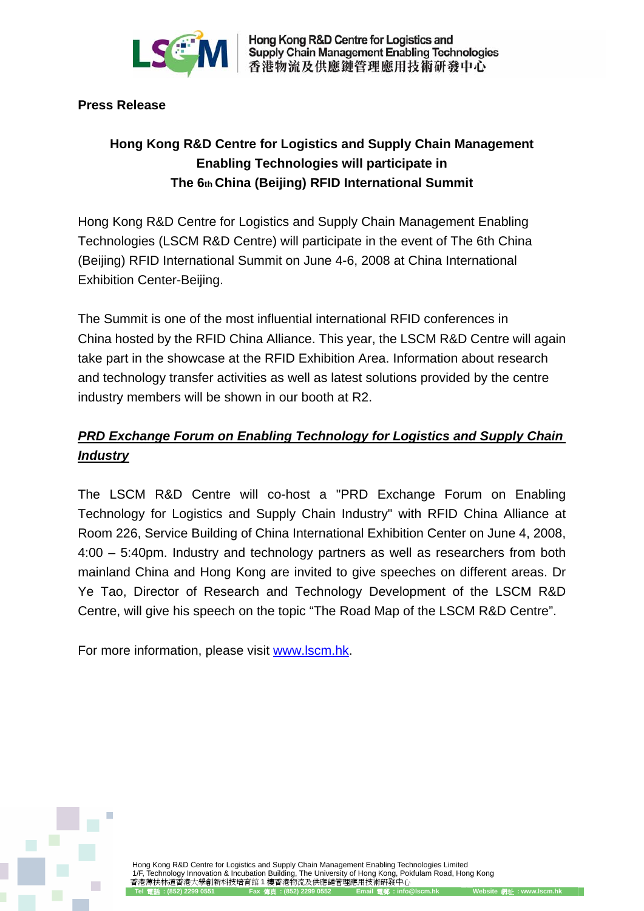

Hong Kong R&D Centre for Logistics and **Supply Chain Management Enabling Technologies** 香港物流及供應鏈管理應用技術研發中心

## **Press Release**

## **Hong Kong R&D Centre for Logistics and Supply Chain Management Enabling Technologies will participate in The 6th China (Beijing) RFID International Summit**

Hong Kong R&D Centre for Logistics and Supply Chain Management Enabling Technologies (LSCM R&D Centre) will participate in the event of The 6th China (Beijing) RFID International Summit on June 4-6, 2008 at China International Exhibition Center-Beijing.

The Summit is one of the most influential international RFID conferences in China hosted by the RFID China Alliance. This year, the LSCM R&D Centre will again take part in the showcase at the RFID Exhibition Area. Information about research and technology transfer activities as well as latest solutions provided by the centre industry members will be shown in our booth at R2.

## *PRD Exchange Forum on Enabling Technology for Logistics and Supply Chain Industry*

The LSCM R&D Centre will co-host a "PRD Exchange Forum on Enabling Technology for Logistics and Supply Chain Industry" with RFID China Alliance at Room 226, Service Building of China International Exhibition Center on June 4, 2008, 4:00 – 5:40pm. Industry and technology partners as well as researchers from both mainland China and Hong Kong are invited to give speeches on different areas. Dr Ye Tao, Director of Research and Technology Development of the LSCM R&D Centre, will give his speech on the topic "The Road Map of the LSCM R&D Centre".

For more information, please visit www.lscm.hk.